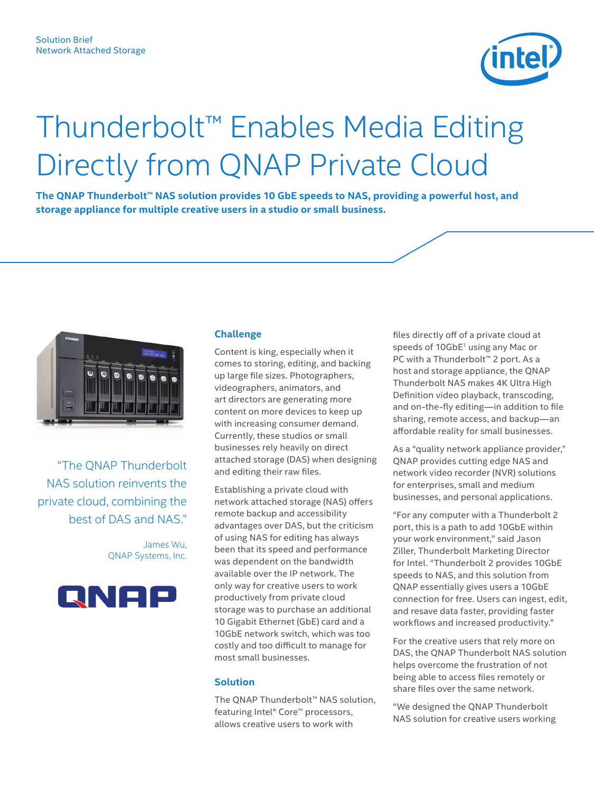

## Thunderbolt™ Enables Media Editing Directly from QNAP Private Cloud

**The QNAP Thunderbolt™ NAS solution provides 10 GbE speeds to NAS, providing a powerful host, and storage appliance for multiple creative users in a studio or small business.**



"The QNAP Thunderbolt NAS solution reinvents the private cloud, combining the best of DAS and NAS."

> James Wu, QNAP Systems, Inc.



## **Challenge**

Content is king, especially when it comes to storing, editing, and backing up large file sizes. Photographers, videographers, animators, and art directors are generating more content on more devices to keep up with increasing consumer demand. Currently, these studios or small businesses rely heavily on direct attached storage (DAS) when designing and editing their raw files.

Establishing a private cloud with network attached storage (NAS) offers remote backup and accessibility advantages over DAS, but the criticism of using NAS for editing has always been that its speed and performance was dependent on the bandwidth available over the IP network. The only way for creative users to work productively from private cloud storage was to purchase an additional 10 Gigabit Ethernet (GbE) card and a 10GbE network switch, which was too costly and too difficult to manage for most small businesses.

## **Solution**

The QNAP Thunderbolt™ NAS solution, featuring Intel® Core™ processors, allows creative users to work with

files directly off of a private cloud at speeds of 10GbE<sup>1</sup> using any Mac or PC with a Thunderbolt™ 2 port. As a host and storage appliance, the QNAP Thunderbolt NAS makes 4K Ultra High Definition video playback, transcoding, and on-the-fly editing—in addition to file sharing, remote access, and backup—an affordable reality for small businesses.

As a "quality network appliance provider," QNAP provides cutting edge NAS and network video recorder (NVR) solutions for enterprises, small and medium businesses, and personal applications.

"For any computer with a Thunderbolt 2 port, this is a path to add 10GbE within your work environment," said Jason Ziller, Thunderbolt Marketing Director for Intel. "Thunderbolt 2 provides 10GbE speeds to NAS, and this solution from QNAP essentially gives users a 10GbE connection for free. Users can ingest, edit, and resave data faster, providing faster workflows and increased productivity."

For the creative users that rely more on DAS, the QNAP Thunderbolt NAS solution helps overcome the frustration of not being able to access files remotely or share files over the same network.

"We designed the QNAP Thunderbolt NAS solution for creative users working